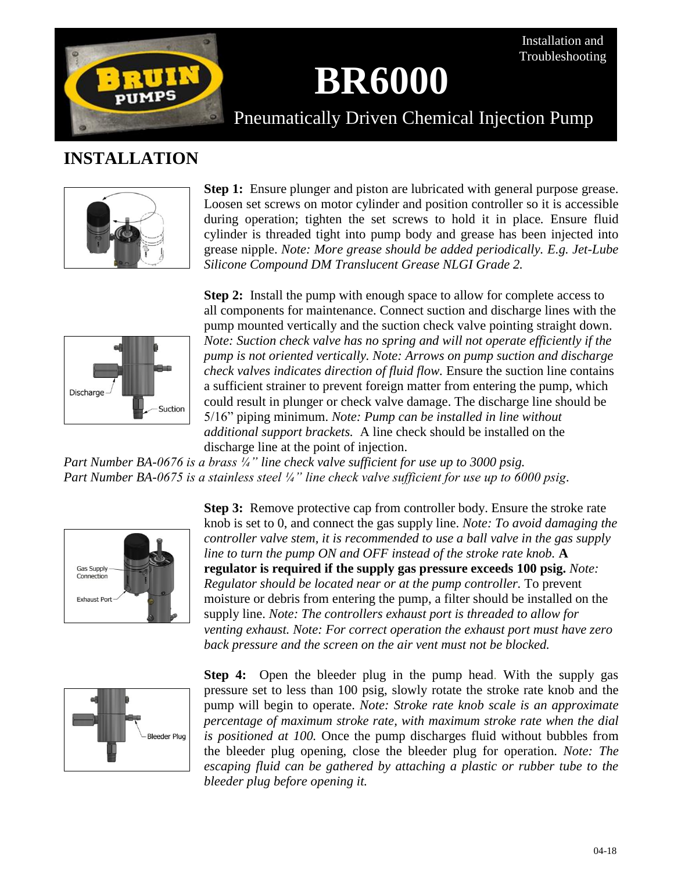

# **BR6000**

Installation and Troubleshooting

Pneumatically Driven Chemical Injection Pump

## **INSTALLATION**



**Step 1:** Ensure plunger and piston are lubricated with general purpose grease. Loosen set screws on motor cylinder and position controller so it is accessible during operation; tighten the set screws to hold it in place*.* Ensure fluid cylinder is threaded tight into pump body and grease has been injected into grease nipple. *Note: More grease should be added periodically. E.g. Jet-Lube Silicone Compound DM Translucent Grease NLGI Grade 2.*



**Step 2:** Install the pump with enough space to allow for complete access to all components for maintenance. Connect suction and discharge lines with the pump mounted vertically and the suction check valve pointing straight down. *Note: Suction check valve has no spring and will not operate efficiently if the pump is not oriented vertically. Note: Arrows on pump suction and discharge check valves indicates direction of fluid flow.* Ensure the suction line contains a sufficient strainer to prevent foreign matter from entering the pump, which could result in plunger or check valve damage. The discharge line should be 5/16" piping minimum. *Note: Pump can be installed in line without additional support brackets.* A line check should be installed on the discharge line at the point of injection.

*Part Number BA-0676 is a brass ¼" line check valve sufficient for use up to 3000 psig. Part Number BA-0675 is a stainless steel ¼" line check valve sufficient for use up to 6000 psig.*



**Step 3:** Remove protective cap from controller body. Ensure the stroke rate knob is set to 0, and connect the gas supply line. *Note: To avoid damaging the controller valve stem, it is recommended to use a ball valve in the gas supply line to turn the pump ON and OFF instead of the stroke rate knob.* **A regulator is required if the supply gas pressure exceeds 100 psig.** *Note: Regulator should be located near or at the pump controller.* To prevent moisture or debris from entering the pump, a filter should be installed on the supply line. *Note: The controllers exhaust port is threaded to allow for venting exhaust. Note: For correct operation the exhaust port must have zero back pressure and the screen on the air vent must not be blocked.* 



**Step 4:** Open the bleeder plug in the pump head. With the supply gas pressure set to less than 100 psig, slowly rotate the stroke rate knob and the pump will begin to operate. *Note: Stroke rate knob scale is an approximate percentage of maximum stroke rate, with maximum stroke rate when the dial is positioned at 100.* Once the pump discharges fluid without bubbles from the bleeder plug opening, close the bleeder plug for operation. *Note: The escaping fluid can be gathered by attaching a plastic or rubber tube to the bleeder plug before opening it.*